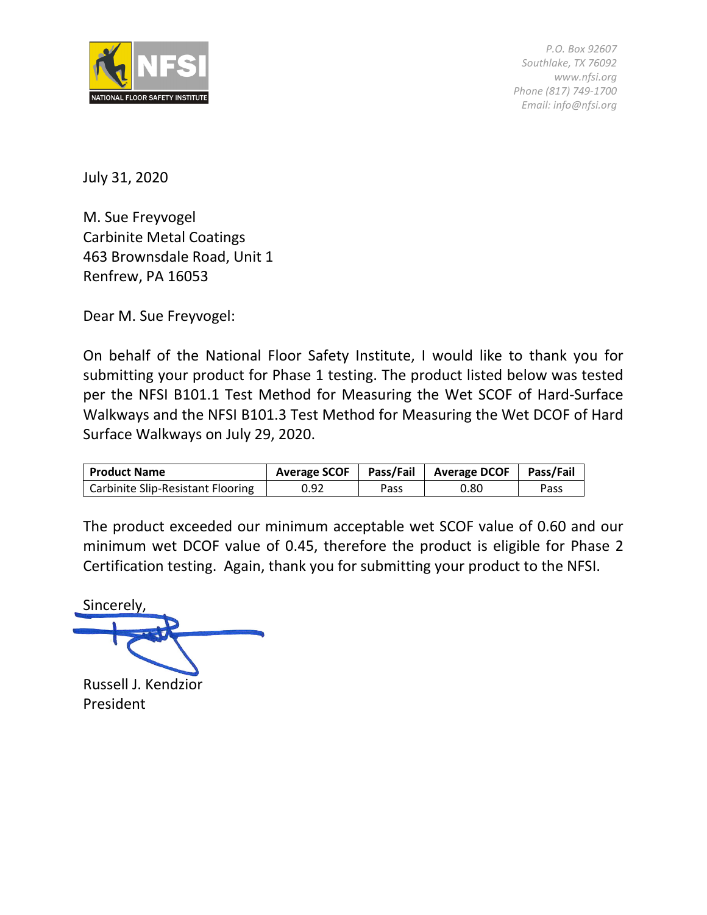

*P.O. Box 92607 Southlake, TX 76092 www.nfsi.org Phone (817) 749-1700 Email: info@nfsi.org*

July 31, 2020

M. Sue Freyvogel Carbinite Metal Coatings 463 Brownsdale Road, Unit 1 Renfrew, PA 16053

Dear M. Sue Freyvogel:

On behalf of the National Floor Safety Institute, I would like to thank you for submitting your product for Phase 1 testing. The product listed below was tested per the NFSI B101.1 Test Method for Measuring the Wet SCOF of Hard-Surface Walkways and the NFSI B101.3 Test Method for Measuring the Wet DCOF of Hard Surface Walkways on July 29, 2020.

| <b>Product Name</b>               | <b>Average SCOF</b> |      | Pass/Fail   Average DCOF | <b>Pass/Fail</b> |
|-----------------------------------|---------------------|------|--------------------------|------------------|
| Carbinite Slip-Resistant Flooring | 0.92                | Pass | 0.80                     | Pass             |

The product exceeded our minimum acceptable wet SCOF value of 0.60 and our minimum wet DCOF value of 0.45, therefore the product is eligible for Phase 2 Certification testing. Again, thank you for submitting your product to the NFSI.

Sincerely,

Russell J. Kendzior President